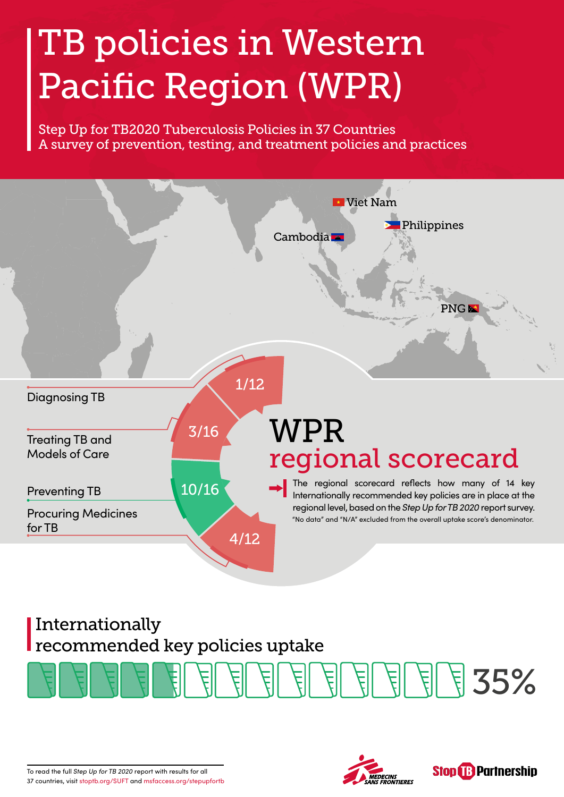## TB policies in Western Pacific Region (WPR)

Step Up for TB2020 Tuberculosis Policies in 37 Countries A survey of prevention, testing, and treatment policies and practices



## Internationally recommended key policies uptake







To read the full *Step Up for TB 2020* report with results for all 37 countries, visit [stoptb.org/SUFT](http://stoptb.org/SUFT) and [msfaccess.org/stepupfortb](http://msfaccess.org/stepupfortb)